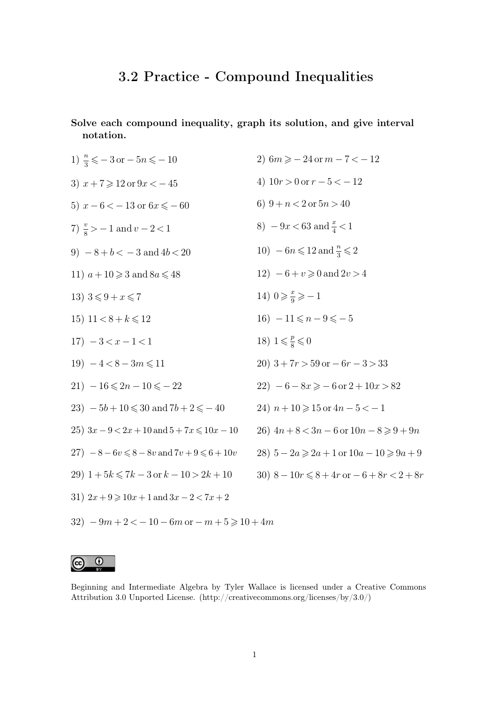## **3.2 Practice - Compound Inequalities**

**Solve each compound inequality, graph its solution, and give interval notation.**

1)  $\frac{n}{3} \leqslant -3 \text{ or } -5n \leqslant -10$ 3)  $x + 7 \ge 12$  or  $9x < -45$ 5)  $x - 6 < -13$  or  $6x \le -60$ 7)  $\frac{v}{8}$  > -1 and  $v - 2 < 1$ 9)  $-8 + b < -3$  and  $4b < 20$ 11)  $a+10 \geqslant 3$  and  $8a \leqslant 48$ 13)  $3 \leq 9 + x \leq 7$ 15)  $11 < 8 + k \le 12$  $17) - 3 < x - 1 < 1$  $19$ )  $-4 < 8 - 3m \le 11$  $21) - 16 \leqslant 2n - 10 \leqslant -22$ 23)  $-5b+10 \le 30$  and  $7b+2 \le -40$ 25)  $3x - 9 < 2x + 10$  and  $5 + 7x \le 10x - 10$  $27$ )  $-8 - 6v \le 8 - 8v$  and  $7v + 9 \le 6 + 10v$ 29)  $1+5k \le 7k - 3$  or  $k - 10 > 2k + 10$ 31)  $2x + 9 \ge 10x + 1$  and  $3x - 2 < 7x + 2$ 2)  $6m \ge -24$  or  $m-7 < -12$ 4)  $10r > 0$  or  $r - 5 < -12$ 6)  $9 + n < 2$  or  $5n > 40$ 8)  $-9x < 63$  and  $\frac{x}{4} < 1$ 10)  $-6n \leqslant 12$  and  $\frac{n}{3} \leqslant 2$  $12) - 6 + v \ge 0$  and  $2v > 4$ 14)  $0 \geqslant \frac{x}{9}$  $\frac{x}{9} \geqslant -1$  $16) - 11 \leq n - 9 \leq -5$ 18)  $1 \leqslant \frac{p}{8}$  $\frac{p}{8} \leqslant 0$ 20)  $3+7r > 59$  or  $-6r - 3 > 33$ 22)  $-6 - 8x \ge -6$  or  $2 + 10x > 82$ 24)  $n + 10 \ge 15$  or  $4n - 5 < -1$ 26)  $4n + 8 < 3n - 6$  or  $10n - 8 \ge 9 + 9n$ 28)  $5 - 2a \ge 2a + 1$  or  $10a - 10 \ge 9a + 9$ 30)  $8 - 10r \le 8 + 4r$  or  $-6 + 8r < 2 + 8r$ 



 $32) - 9m + 2 < -10 - 6m$  or  $- m + 5 \geq 10 + 4m$ 

Beginning and Intermediate Algebra by Tyler Wallace is licensed under a Creative Commons Attribution 3.0 Unported License. (http://creativecommons.org/licenses/by/3.0/)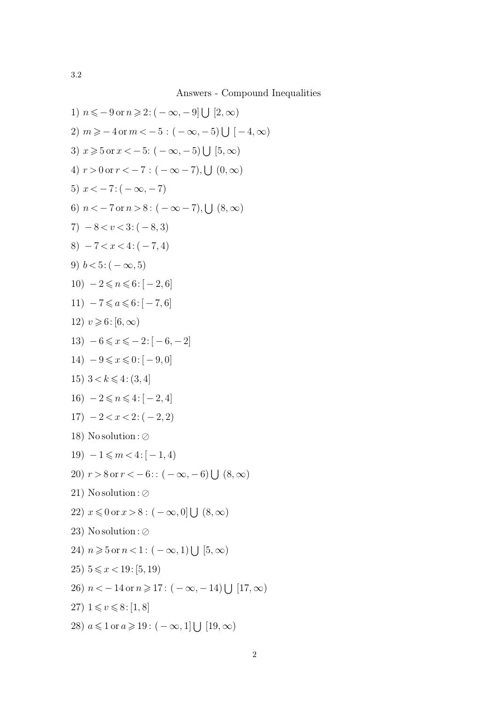Answers - Compound Inequalities

1) 
$$
n \le -9
$$
 or  $n \ge 2: (-\infty, -9] \cup [2, \infty)$   
\n2)  $m \ge -4$  or  $m < -5 : (-\infty, -5) \cup [-4, \infty)$   
\n3)  $x \ge 5$  or  $x < -5 : (-\infty, -5) \cup [5, \infty)$   
\n4)  $r > 0$  or  $r < -7 : (-\infty, -7)$ ,  $\cup (0, \infty)$   
\n5)  $x < -7 : (-\infty, -7)$   
\n6)  $n < -7$  or  $n > 8 : (-\infty, -7)$ ,  $\cup (8, \infty)$   
\n7)  $-8 < v < 3 : (-8, 3)$   
\n8)  $-7 < x < 4 : (-7, 4)$   
\n9)  $b < 5 : (-\infty, 5)$   
\n10)  $-2 \le n \le 6 : [-2, 6]$   
\n11)  $-7 \le a \le 6 : [-7, 6]$   
\n12)  $v \ge 6 : [6, \infty)$   
\n13)  $-6 \le x \le -2 : [-6, -2]$   
\n14)  $-9 \le x \le 0 : [-9, 0]$   
\n15)  $3 < k \le 4 : (3, 4]$   
\n16)  $-2 \le n \le 4 : [-2, 4]$   
\n17)  $-2 < x < 2 : (-2, 2)$   
\n18) Nosolution :  $\oslash$   
\n19)  $-1 \le m < 4 : [-1, 4)$   
\n20)  $r > 8$  or  $r < -6 : (-\infty, -6) \cup (8, \infty)$   
\n21) Nosolution :  $\oslash$   
\n22)  $x \le 0$  or  $x > 8 : (-\infty, 0] \cup (8, \infty)$   
\n23) Nosolution :  $\oslash$   
\n24)  $n \ge 5$  or  $n < 1 : (-\infty, 1) \cup [5, \infty)$   
\n25)  $5 \le x < 19 : [5, 19)$   
\n26)  $n < -14$  or  $n \ge 17 : (-\$